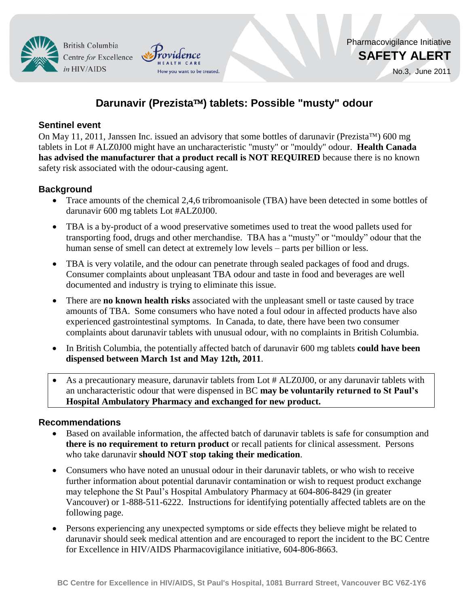**British Columbia** Centre for Excellence in HIV/AIDS

No.3, June 2011

# **Darunavir (Prezista) tablets: Possible "musty" odour**

How you want to be treated

### **Sentinel event**

On May 11, 2011, Janssen Inc. issued an advisory that some bottles of darunavir (Prezista<sup>TM</sup>) 600 mg tablets in Lot # ALZ0J00 might have an uncharacteristic "musty" or "mouldy" odour. **Health Canada has advised the manufacturer that a product recall is NOT REQUIRED** because there is no known safety risk associated with the odour-causing agent.

### **Background**

- Trace amounts of the chemical 2,4,6 tribromoanisole (TBA) have been detected in some bottles of darunavir 600 mg tablets Lot #ALZ0J00.
- TBA is a by-product of a wood preservative sometimes used to treat the wood pallets used for transporting food, drugs and other merchandise. TBA has a "musty" or "mouldy" odour that the human sense of smell can detect at extremely low levels – parts per billion or less.
- TBA is very volatile, and the odour can penetrate through sealed packages of food and drugs. Consumer complaints about unpleasant TBA odour and taste in food and beverages are well documented and industry is trying to eliminate this issue.
- There are **no known health risks** associated with the unpleasant smell or taste caused by trace amounts of TBA. Some consumers who have noted a foul odour in affected products have also experienced gastrointestinal symptoms. In Canada, to date, there have been two consumer complaints about darunavir tablets with unusual odour, with no complaints in British Columbia.
- In British Columbia, the potentially affected batch of darunavir 600 mg tablets **could have been dispensed between March 1st and May 12th, 2011**.
- As a precautionary measure, darunavir tablets from Lot # ALZ0J00, or any darunavir tablets with an uncharacteristic odour that were dispensed in BC **may be voluntarily returned to St Paul's Hospital Ambulatory Pharmacy and exchanged for new product.**

### **Recommendations**

- Based on available information, the affected batch of darunavir tablets is safe for consumption and **there is no requirement to return product** or recall patients for clinical assessment. Persons who take darunavir **should NOT stop taking their medication**.
- Consumers who have noted an unusual odour in their darunavir tablets, or who wish to receive further information about potential darunavir contamination or wish to request product exchange may telephone the St Paul's Hospital Ambulatory Pharmacy at 604-806-8429 (in greater Vancouver) or 1-888-511-6222. Instructions for identifying potentially affected tablets are on the following page.
- Persons experiencing any unexpected symptoms or side effects they believe might be related to darunavir should seek medical attention and are encouraged to report the incident to the BC Centre for Excellence in HIV/AIDS Pharmacovigilance initiative, 604-806-8663.